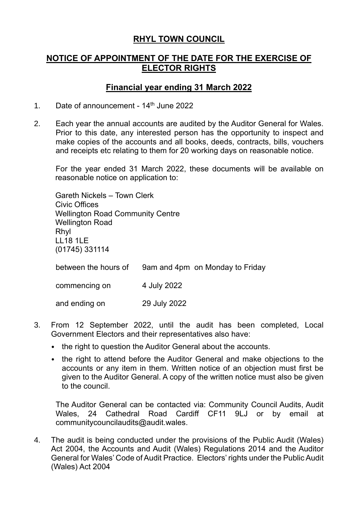# **RHYL TOWN COUNCIL**

# **NOTICE OF APPOINTMENT OF THE DATE FOR THE EXERCISE OF ELECTOR RIGHTS**

### **Financial year ending 31 March 2022**

- 1. Date of announcement  $14<sup>th</sup>$  June 2022
- 2. Each year the annual accounts are audited by the Auditor General for Wales. Prior to this date, any interested person has the opportunity to inspect and make copies of the accounts and all books, deeds, contracts, bills, vouchers and receipts etc relating to them for 20 working days on reasonable notice.

For the year ended 31 March 2022, these documents will be available on reasonable notice on application to:

Gareth Nickels – Town Clerk Civic Offices Wellington Road Community Centre Wellington Road Rhyl LL18 1LE (01745) 331114 between the hours of 9am and 4pm on Monday to Friday

commencing on 4 July 2022

and ending on 29 July 2022

- 3. From 12 September 2022, until the audit has been completed, Local Government Electors and their representatives also have:
	- the right to question the Auditor General about the accounts.
	- the right to attend before the Auditor General and make objections to the accounts or any item in them. Written notice of an objection must first be given to the Auditor General. A copy of the written notice must also be given to the council.

The Auditor General can be contacted via: Community Council Audits, Audit Wales, 24 Cathedral Road Cardiff CF11 9LJ or by email at [communitycouncilaudits@audit.wales.](mailto:communitycouncilaudits@audit.wales)

4. The audit is being conducted under the provisions of the Public Audit (Wales) Act 2004, the Accounts and Audit (Wales) Regulations 2014 and the Auditor General for Wales' Code of Audit Practice. Electors' rights under the Public Audit (Wales) Act 2004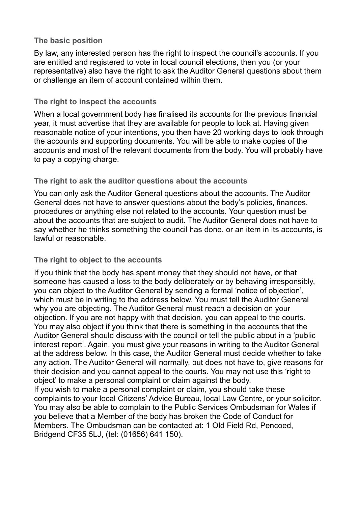#### **The basic position**

By law, any interested person has the right to inspect the council's accounts. If you are entitled and registered to vote in local council elections, then you (or your representative) also have the right to ask the Auditor General questions about them or challenge an item of account contained within them.

#### **The right to inspect the accounts**

When a local government body has finalised its accounts for the previous financial year, it must advertise that they are available for people to look at. Having given reasonable notice of your intentions, you then have 20 working days to look through the accounts and supporting documents. You will be able to make copies of the accounts and most of the relevant documents from the body. You will probably have to pay a copying charge.

### **The right to ask the auditor questions about the accounts**

You can only ask the Auditor General questions about the accounts. The Auditor General does not have to answer questions about the body's policies, finances, procedures or anything else not related to the accounts. Your question must be about the accounts that are subject to audit. The Auditor General does not have to say whether he thinks something the council has done, or an item in its accounts, is lawful or reasonable.

### **The right to object to the accounts**

If you think that the body has spent money that they should not have, or that someone has caused a loss to the body deliberately or by behaving irresponsibly, you can object to the Auditor General by sending a formal 'notice of objection', which must be in writing to the address below. You must tell the Auditor General why you are objecting. The Auditor General must reach a decision on your objection. If you are not happy with that decision, you can appeal to the courts. You may also object if you think that there is something in the accounts that the Auditor General should discuss with the council or tell the public about in a 'public interest report'. Again, you must give your reasons in writing to the Auditor General at the address below. In this case, the Auditor General must decide whether to take any action. The Auditor General will normally, but does not have to, give reasons for their decision and you cannot appeal to the courts. You may not use this 'right to object' to make a personal complaint or claim against the body. If you wish to make a personal complaint or claim, you should take these

complaints to your local Citizens' Advice Bureau, local Law Centre, or your solicitor. You may also be able to complain to the Public Services Ombudsman for Wales if you believe that a Member of the body has broken the Code of Conduct for Members. The Ombudsman can be contacted at: 1 Old Field Rd, Pencoed, Bridgend CF35 5LJ, (tel: (01656) 641 150).